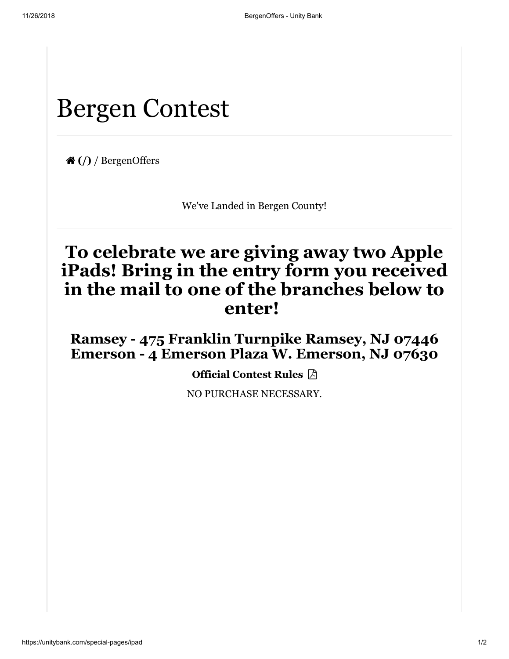## Bergen Contest

 **[\(/\)](https://unitybank.com/)** / BergenOffers

We've Landed in Bergen County!

## **To celebrate we are giving away two Apple iPads! Bring in the entry form you received in the mail to one of the branches below to enter!**

**Ramsey - 475 Franklin Turnpike Ramsey, NJ 07446 Emerson - 4 Emerson Plaza W. Emerson, NJ 07630**

**[Official Contest Rules](https://unitybank.com/getmedia/de9f7a8c-de39-4104-8e5d-301d3c1b82e3/ContestRules_1.pdf.aspx) A** 

NO PURCHASE NECESSARY.